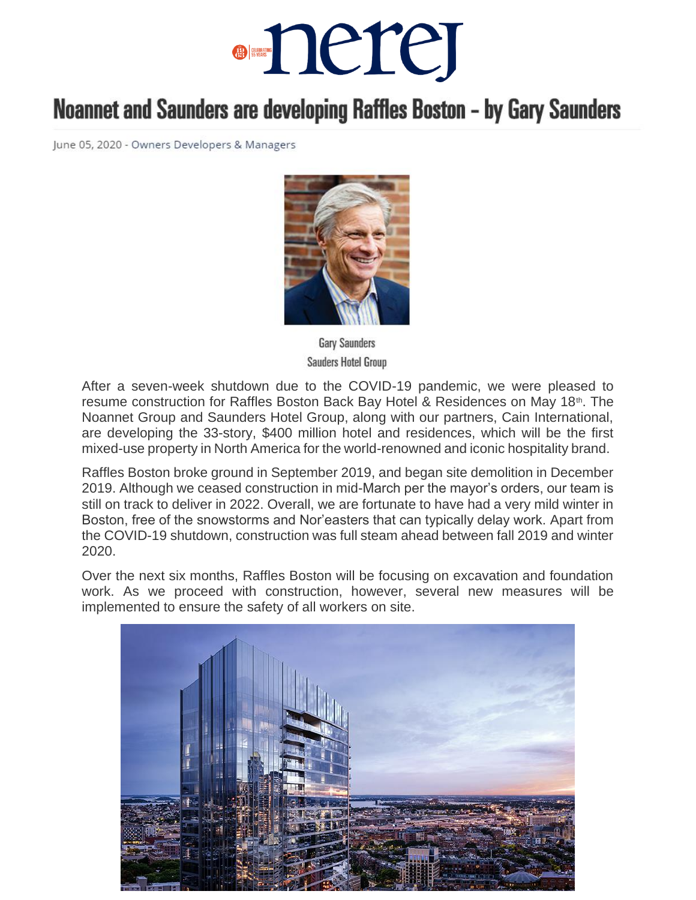## ·nerej

## Noannet and Saunders are developing Raffles Boston - by Gary Saunders

June 05, 2020 - Owners Developers & Managers



**Gary Saunders Sauders Hotel Group** 

After a seven-week shutdown due to the COVID-19 pandemic, we were pleased to resume construction for Raffles Boston Back Bay Hotel & Residences on May 18<sup>th</sup>. The Noannet Group and Saunders Hotel Group, along with our partners, Cain International, are developing the 33-story, \$400 million hotel and residences, which will be the first mixed-use property in North America for the world-renowned and iconic hospitality brand.

Raffles Boston broke ground in September 2019, and began site demolition in December 2019. Although we ceased construction in mid-March per the mayor's orders, our team is still on track to deliver in 2022. Overall, we are fortunate to have had a very mild winter in Boston, free of the snowstorms and Nor'easters that can typically delay work. Apart from the COVID-19 shutdown, construction was full steam ahead between fall 2019 and winter 2020.

Over the next six months, Raffles Boston will be focusing on excavation and foundation work. As we proceed with construction, however, several new measures will be implemented to ensure the safety of all workers on site.